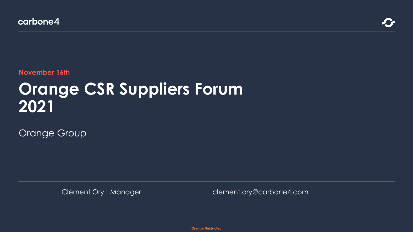**November 16th**

# **Orange CSR Suppliers Forum 2021**

Orange Group

Clément Ory Manager clement.ory@carbone4.com

**Orange Restricted**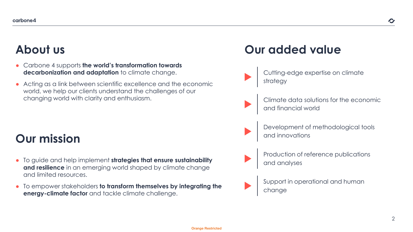# **About us**

- Carbone 4 supports **the world's transformation towards decarbonization and adaptation** to climate change.
- Acting as a link between scientific excellence and the economic world, we help our clients understand the challenges of our changing world with clarity and enthusiasm.

# **Our mission**

- To guide and help implement **strategies that ensure sustainability and resilience** in an emerging world shaped by climate change and limited resources.
- To empower stakeholders **to transform themselves by integrating the energy-climate factor** and tackle climate challenge.

# **Our added value**

- Cutting-edge expertise on climate strategy
	- Climate data solutions for the economic and financial world
	- Development of methodological tools and innovations
- 
- Production of reference publications and analyses
- Support in operational and human change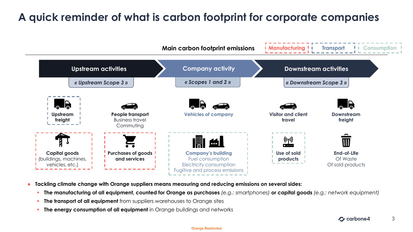### **A quick reminder of what is carbon footprint for corporate companies**



- **Tackling climate change with Orange suppliers means measuring and reducing emissions on several sides:**
	- **The manufacturing of all equipment, counted for Orange as purchases** *(e.g.: smartphones)* **or capital goods** *(e.g.: network equipment)*
	- **The transport of all equipment** from suppliers warehouses to Orange sites
	- **The energy consumption of all equipment** in Orange buildings and networks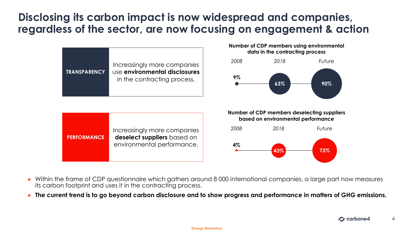#### **Disclosing its carbon impact is now widespread and companies, regardless of the sector, are now focusing on engagement & action**



- Within the frame of CDP questionnaire which gathers around 8 000 international companies, a large part now measures its carbon footprint and uses it in the contracting process.
- **The current trend is to go beyond carbon disclosure and to show progress and performance in matters of GHG emissions.**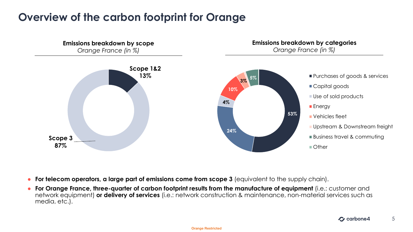#### **Overview of the carbon footprint for Orange**



- **For telecom operators, a large part of emissions come from scope 3** (equivalent to the supply chain).
- **For Orange France, three-quarter of carbon footprint results from the manufacture of equipment** (i.e.: customer and network equipment) **or delivery of services** (i.e.: network construction & maintenance, non-material services such as media, etc.).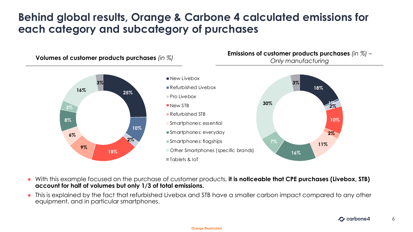#### **Behind global results, Orange & Carbone 4 calculated emissions for each category and subcategory of purchases**



- With this example focused on the purchase of customer products, **it is noticeable that CPE purchases (Livebox, STB) account for half of volumes but only 1/3 of total emissions.**
- This is explained by the fact that refurbished Livebox and STB have a smaller carbon impact compared to any other equipment, and in particular smartphones.

6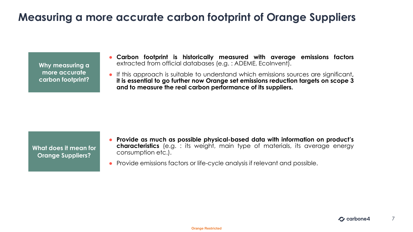#### **Measuring a more accurate carbon footprint of Orange Suppliers**

**Why measuring a more accurate carbon footprint?**

- **Carbon footprint is historically measured with average emissions factors** extracted from official databases (e.g. : ADEME, EcoInvent).
- If this approach is suitable to understand which emissions sources are significant**, it is essential to go further now Orange set emissions reduction targets on scope 3 and to measure the real carbon performance of its suppliers.**

**What does it mean for Orange Suppliers?**

- **Provide as much as possible physical-based data with information on product's characteristics** (e.g. : its weight, main type of materials, its average energy consumption etc.).
- Provide emissions factors or life-cycle analysis if relevant and possible.

7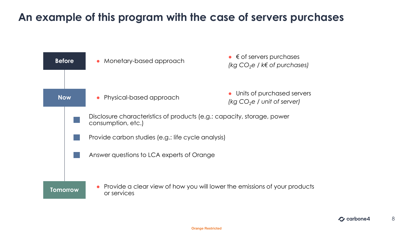#### **An example of this program with the case of servers purchases**